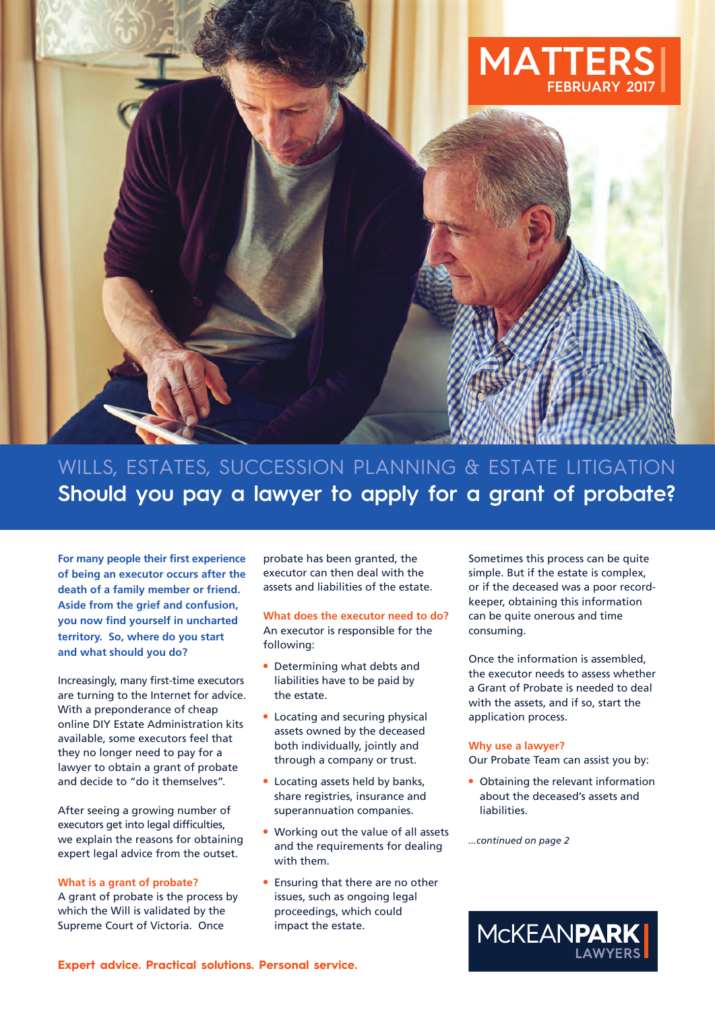

WILLS, ESTATES, SUCCESSION PLANNING & ESTATE LITIGATION **Should you pay a lawyer to apply for a grant of probate?**

**For many people their first experience of being an executor occurs after the death of a family member or friend. Aside from the grief and confusion, you now find yourself in uncharted territory. So, where do you start and what should you do?**

Increasingly, many first-time executors are turning to the Internet for advice. With a preponderance of cheap online DIY Estate Administration kits available, some executors feel that they no longer need to pay for a lawyer to obtain a grant of probate and decide to "do it themselves".

After seeing a growing number of executors get into legal difficulties, we explain the reasons for obtaining expert legal advice from the outset.

#### **What is a grant of probate?**

A grant of probate is the process by which the Will is validated by the Supreme Court of Victoria. Once

probate has been granted, the executor can then deal with the assets and liabilities of the estate.

**What does the executor need to do?** An executor is responsible for the following:

- $\bullet$  Determining what debts and liabilities have to be paid by the estate.
- $\bullet$  Locating and securing physical assets owned by the deceased both individually, jointly and through a company or trust.
- Locating assets held by banks, share registries, insurance and superannuation companies.
- Working out the value of all assets and the requirements for dealing with them.
- Ensuring that there are no other issues, such as ongoing legal proceedings, which could impact the estate.

Sometimes this process can be quite simple. But if the estate is complex, or if the deceased was a poor recordkeeper, obtaining this information can be quite onerous and time consuming.

Once the information is assembled, the executor needs to assess whether a Grant of Probate is needed to deal with the assets, and if so, start the application process.

#### **Why use a lawyer?**

Our Probate Team can assist you by:

• Obtaining the relevant information about the deceased's assets and liabilities.

*...continued on page 2*

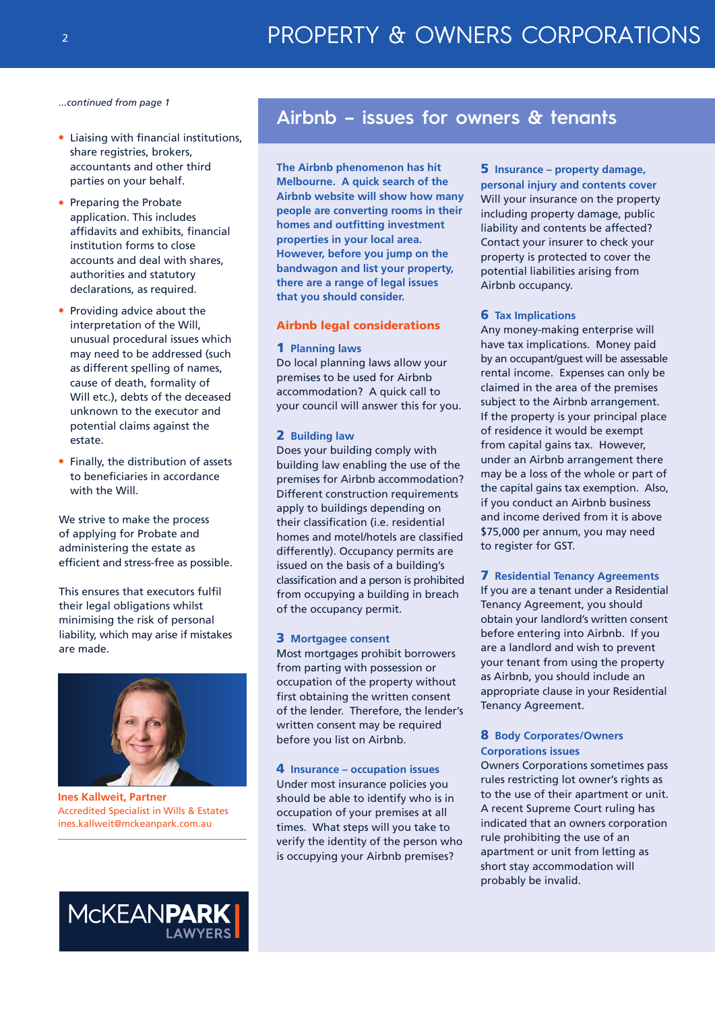*...continued from page 1*

- **Liaising with financial institutions,** share registries, brokers, accountants and other third parties on your behalf.
- Preparing the Probate application. This includes affidavits and exhibits, financial institution forms to close accounts and deal with shares, authorities and statutory declarations, as required.
- $\bullet$  Providing advice about the interpretation of the Will, unusual procedural issues which may need to be addressed (such as different spelling of names, cause of death, formality of Will etc.), debts of the deceased unknown to the executor and potential claims against the estate.
- Finally, the distribution of assets to beneficiaries in accordance with the Will.

We strive to make the process of applying for Probate and administering the estate as efficient and stress-free as possible.

This ensures that executors fulfil their legal obligations whilst minimising the risk of personal liability, which may arise if mistakes are made.



**Ines Kallweit, Partner** Accredited Specialist in Wills & Estates ines.kallweit@mckeanpark.com.au



# **Airbnb – issues for owners & tenants**

**The Airbnb phenomenon has hit Melbourne. A quick search of the Airbnb website will show how many people are converting rooms in their homes and outfitting investment properties in your local area. However, before you jump on the bandwagon and list your property, there are a range of legal issues that you should consider.** 

### **Airbnb legal considerations**

#### **1 Planning laws**

Do local planning laws allow your premises to be used for Airbnb accommodation? A quick call to your council will answer this for you.

#### **2 Building law**

Does your building comply with building law enabling the use of the premises for Airbnb accommodation? Different construction requirements apply to buildings depending on their classification (i.e. residential homes and motel/hotels are classified differently). Occupancy permits are issued on the basis of a building's classification and a person is prohibited from occupying a building in breach of the occupancy permit.

#### **3 Mortgagee consent**

Most mortgages prohibit borrowers from parting with possession or occupation of the property without first obtaining the written consent of the lender. Therefore, the lender's written consent may be required before you list on Airbnb.

## **4 Insurance – occupation issues** Under most insurance policies you should be able to identify who is in occupation of your premises at all times. What steps will you take to verify the identity of the person who is occupying your Airbnb premises?

# **5 Insurance – property damage,**

**personal injury and contents cover** Will your insurance on the property including property damage, public liability and contents be affected? Contact your insurer to check your property is protected to cover the potential liabilities arising from Airbnb occupancy.

#### **6 Tax Implications**

Any money-making enterprise will have tax implications. Money paid by an occupant/guest will be assessable rental income. Expenses can only be claimed in the area of the premises subject to the Airbnb arrangement. If the property is your principal place of residence it would be exempt from capital gains tax. However, under an Airbnb arrangement there may be a loss of the whole or part of the capital gains tax exemption. Also, if you conduct an Airbnb business and income derived from it is above \$75,000 per annum, you may need to register for GST.

#### **7 Residential Tenancy Agreements**

If you are a tenant under a Residential Tenancy Agreement, you should obtain your landlord's written consent before entering into Airbnb. If you are a landlord and wish to prevent your tenant from using the property as Airbnb, you should include an appropriate clause in your Residential Tenancy Agreement.

## **8 Body Corporates/Owners Corporations issues**

Owners Corporations sometimes pass rules restricting lot owner's rights as to the use of their apartment or unit. A recent Supreme Court ruling has indicated that an owners corporation rule prohibiting the use of an apartment or unit from letting as short stay accommodation will probably be invalid.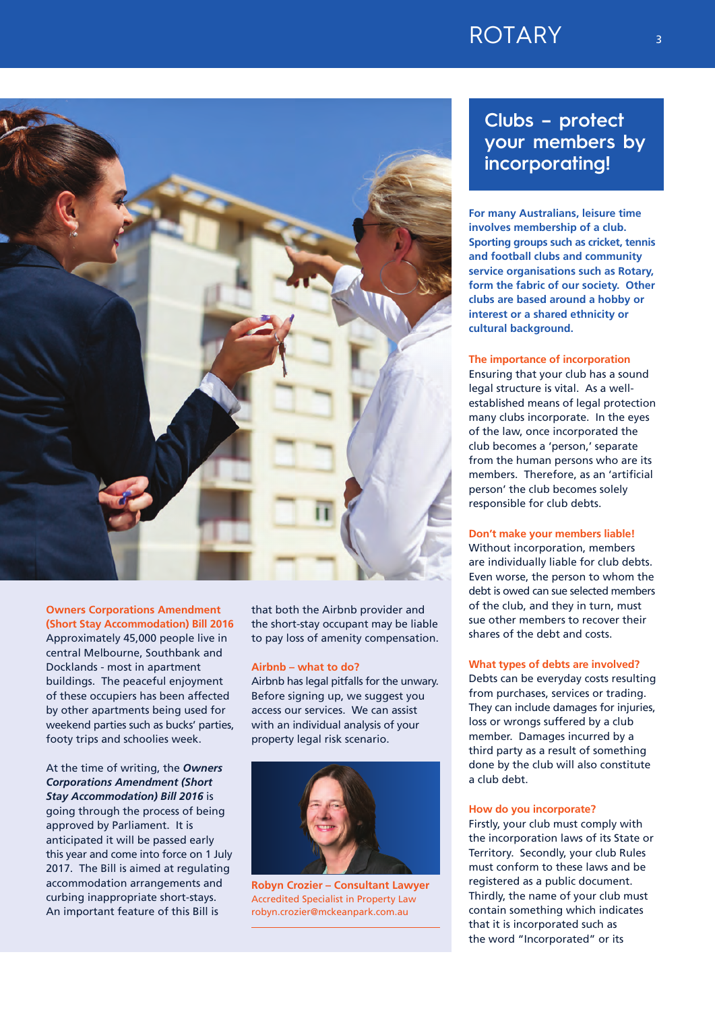# ROTARY 3



# **Owners Corporations Amendment**

**(Short Stay Accommodation) Bill 2016** Approximately 45,000 people live in central Melbourne, Southbank and Docklands - most in apartment buildings. The peaceful enjoyment of these occupiers has been affected by other apartments being used for weekend parties such as bucks' parties, footy trips and schoolies week.

At the time of writing, the *Owners Corporations Amendment (Short Stay Accommodation) Bill 2016* is going through the process of being approved by Parliament. It is anticipated it will be passed early this year and come into force on 1 July 2017. The Bill is aimed at regulating accommodation arrangements and curbing inappropriate short-stays. An important feature of this Bill is

that both the Airbnb provider and the short-stay occupant may be liable to pay loss of amenity compensation.

#### **Airbnb – what to do?**

Airbnb has legal pitfalls for the unwary. Before signing up, we suggest you access our services. We can assist with an individual analysis of your property legal risk scenario.



**Robyn Crozier – Consultant Lawyer** Accredited Specialist in Property Law robyn.crozier@mckeanpark.com.au

# **Clubs – protect your members by incorporating!**

**For many Australians, leisure time involves membership of a club. Sporting groups such as cricket, tennis and football clubs and community service organisations such as Rotary, form the fabric of our society. Other clubs are based around a hobby or interest or a shared ethnicity or cultural background.**

### **The importance of incorporation**

Ensuring that your club has a sound legal structure is vital. As a wellestablished means of legal protection many clubs incorporate. In the eyes of the law, once incorporated the club becomes a 'person,' separate from the human persons who are its members. Therefore, as an 'artificial person' the club becomes solely responsible for club debts.

#### **Don't make your members liable!**

Without incorporation, members are individually liable for club debts. Even worse, the person to whom the debt is owed can sue selected members of the club, and they in turn, must sue other members to recover their shares of the debt and costs.

#### **What types of debts are involved?**

Debts can be everyday costs resulting from purchases, services or trading. They can include damages for injuries, loss or wrongs suffered by a club member. Damages incurred by a third party as a result of something done by the club will also constitute a club debt.

#### **How do you incorporate?**

Firstly, your club must comply with the incorporation laws of its State or Territory. Secondly, your club Rules must conform to these laws and be registered as a public document. Thirdly, the name of your club must contain something which indicates that it is incorporated such as the word "Incorporated" or its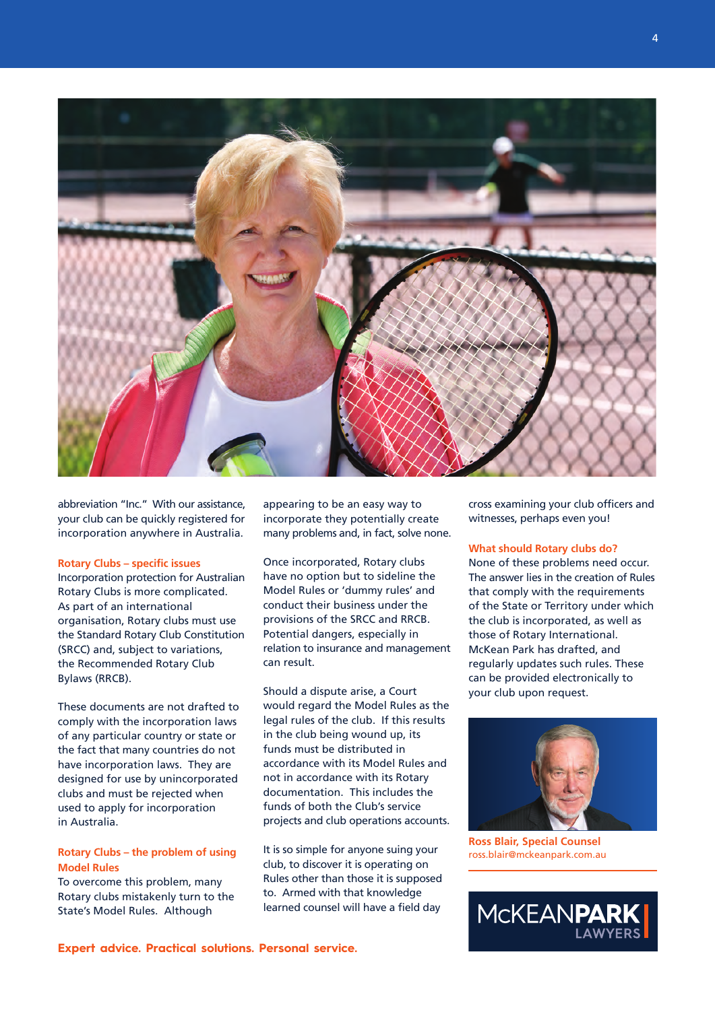

abbreviation "Inc." With our assistance, your club can be quickly registered for incorporation anywhere in Australia.

## **Rotary Clubs – specific issues**

Incorporation protection for Australian Rotary Clubs is more complicated. As part of an international organisation, Rotary clubs must use the Standard Rotary Club Constitution (SRCC) and, subject to variations, the Recommended Rotary Club Bylaws (RRCB).

These documents are not drafted to comply with the incorporation laws of any particular country or state or the fact that many countries do not have incorporation laws. They are designed for use by unincorporated clubs and must be rejected when used to apply for incorporation in Australia.

### **Rotary Clubs – the problem of using Model Rules**

To overcome this problem, many Rotary clubs mistakenly turn to the State's Model Rules. Although

appearing to be an easy way to incorporate they potentially create many problems and, in fact, solve none.

Once incorporated, Rotary clubs have no option but to sideline the Model Rules or 'dummy rules' and conduct their business under the provisions of the SRCC and RRCB. Potential dangers, especially in relation to insurance and management can result.

Should a dispute arise, a Court would regard the Model Rules as the legal rules of the club. If this results in the club being wound up, its funds must be distributed in accordance with its Model Rules and not in accordance with its Rotary documentation. This includes the funds of both the Club's service projects and club operations accounts.

It is so simple for anyone suing your club, to discover it is operating on Rules other than those it is supposed to. Armed with that knowledge learned counsel will have a field day

cross examining your club officers and witnesses, perhaps even you!

## **What should Rotary clubs do?**

None of these problems need occur. The answer lies in the creation of Rules that comply with the requirements of the State or Territory under which the club is incorporated, as well as those of Rotary International. McKean Park has drafted, and regularly updates such rules. These can be provided electronically to your club upon request.



**Ross Blair, Special Counsel** ross.blair@mckeanpark.com.au

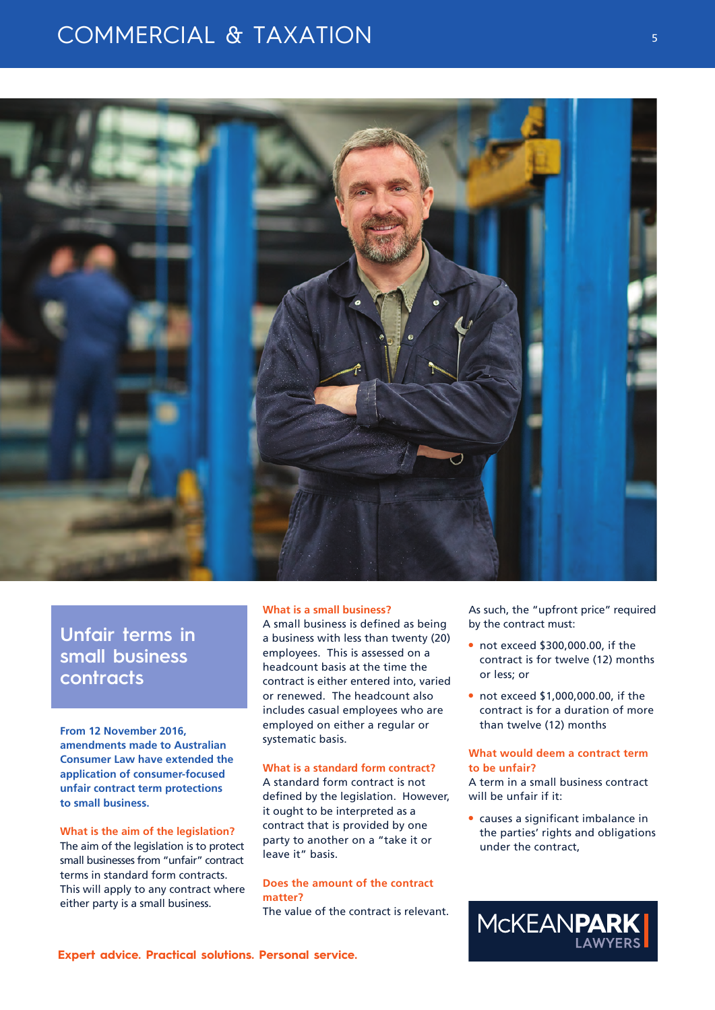# COMMERCIAL & TAXATION



**Unfair terms in small business contracts**

**From 12 November 2016, amendments made to Australian Consumer Law have extended the application of consumer-focused unfair contract term protections to small business.**

#### **What is the aim of the legislation?**

The aim of the legislation is to protect small businesses from "unfair" contract terms in standard form contracts. This will apply to any contract where either party is a small business.

#### **What is a small business?**

A small business is defined as being a business with less than twenty (20) employees. This is assessed on a headcount basis at the time the contract is either entered into, varied or renewed. The headcount also includes casual employees who are employed on either a regular or systematic basis.

# **What is a standard form contract?**

A standard form contract is not defined by the legislation. However, it ought to be interpreted as a contract that is provided by one party to another on a "take it or leave it" basis.

### **Does the amount of the contract matter?**

The value of the contract is relevant.

As such, the "upfront price" required by the contract must:

- $\bullet$  not exceed \$300,000.00, if the contract is for twelve (12) months or less; or
- $\bullet$  not exceed \$1,000,000.00, if the contract is for a duration of more than twelve (12) months

## **What would deem a contract term to be unfair?**

A term in a small business contract will be unfair if it:

 $\bullet$  causes a significant imbalance in the parties' rights and obligations under the contract,